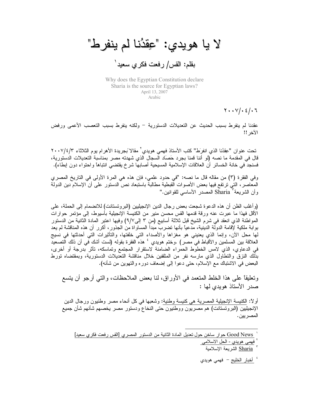لا يا هويدي: "عِقْدُنا لم ينفرط" بقلم: القس/ رفعت فكرى سعيد<sup>'</sup>

Why does the Egyptian Constitution declare Sharia is the source for Egyptian laws? April 13, 2007 Arabic

 $Y \cdot Y / \cdot 2 / \cdot 7$ 

عقدنا لم ينفرط بسبب الحديث عن التعديلات الدستورية – ولكنه ينفرط بسبب التعصب الأعمى ورفض الأخر !!

تحت عنو ان "عِقدُنا الذي انفرَط" كتب الأستاذ فهمي هويدي ّ مقالا بَجريدة الأهر ام يوم الثلاثاء ٢٠٠٧/٤/٣ قال في المقدمة ما نصه (لو أننا قمنا بجرد حَصَاد السجال الذي شهدته مصر بمناسبة التعديلات الدستورية، فسنجد في خانة الخسائر أن العلاقات الإسلامية المسيحية أصابها شرخ يقتضـي انتباها واحتواء دون إبطاء).

وفي الفقرة (٣) من مقاله قال ما نصه: "في حدود علمي، فإن هذه هي المرة الأولى في التاريخ المصري المعاصر، النَّبي نرتفع فيها بعض الأصوات القبطية مطالبة باستبعاد نص الدستور على أن الإسلام دين الدولة وأن الشريعة<sup>؟</sup> Sharia المصدر الأساسي للقوانين.''

(وأغلب الظن أن هذه الدعوة شجعت بعض رجال الدين الإنجيليين (البروتستانت) للانضمام إلى الحملة، على الأقل فهذا ما عبرت عنه ورقة قدمها القس محسن منير من الكنيسة الإنجيلية بأسيوط، إلى مؤتمر حوارات المعواطنة الذي انعقد في شرم الشيخ قبل ثلاثة أسابيع (من ٣ إلى/٩)/ وفيها اعتبر المادة الثانية من الدستور بوابة ملكية لإقامة الدولة الدينية، مدعيًا بأنها نضرب مبدأ المساواة من الجذور ، أكرر أن هذه المناقشة لم يعد لمها محل الأن، وإنما الذي يعنيني هو مغزاها والأصداء التي خلفتها، والتأثيرات التي أحدثتها في نسيج العلاقة بين المسلمين والأقباط في مصر) .وختم هويدي ' هذه الفقرة بقوله (لست أشك في أن ذلك النصعيد في الدعاوي، الذي لامس الخطوط الحمراء الضامنة لاستقرار المجتمع وتماسكه، تأثَّر بدرجة أو أخرى، بذلك النزق والنطاول الذي مارسه نفر من المثقفين خلال مناقشة التعديلات الدستورية، وبمقتضاه نورط البعض في الاشتباك مع الإسلام، حتى دعوا إلى إضعاف دوره والتهوين من شأنه).

ونعليقًا على هذا الخلط المنعمد في الأوراق، لنا بعض الملاحظات، والتي أرجو أن ينسع صدر الأستاذ هويدي لها :

أو لا: الكنيسة الإنجيلية المصرية هي كنيسة وطنية: وشعبها في كل أنحاء مصر وطنيون ورجال الدين الإنجيليين (البروتستانت) هم مصريون ووطنيون حتى النخاع ودستور مصر يخصهم شأنهم شأن جميع المصر يين .

Good News حوار ساخن حول تعديل المادة الثانية من الدستور المصري [القس رفعت فكري سعيد] فهمي هويدي - الحل الاسلامي

Sharia الشريعة الإسلامية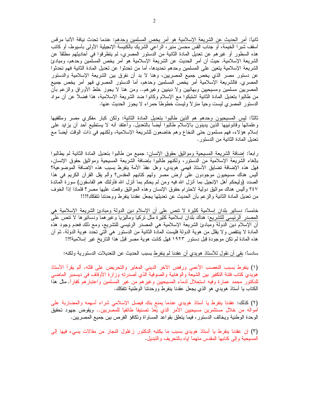ثانياً: أمر الحديث عن الشريعة الإسلامية هو أمر يخص المسلمين وحدهم: عندما تحدث نيافة الأنبا مرقس أسقف شبرا الخيمة، أو جناب القس محسن منير ، الراعي الشريك بالكنيسة الإنجيلية الأولى بأسيوط، أو كاتب هذه السطور أو غيرهم عن تعديل المادة الثانية من الدستور المصري، لم يتطرقوا في أحاديثهم مطلقًا عن الشريعة الإسلامية. حيث أن أمر الحديث عن الشريعة الإسلامية هو أمر يخص المسلمين وحدهم، ومبادئ الشريعة الإسلامية بتعين على المسلمين وحدهم تحديدها، أما من تحدثوا عن تعديل المادة الثانية فهم تحدثوا عن دستور مصر الذي يخص جميع المصريين، وهنا لا بد أن نفرق بين الشريعة الإسلامية والدستور المصري. فالشريعة الإسلامية أمر يخص المسلمين وحدهم، أما الدستور المصري فهو أمر يخص جميع المصريين مسلمين ومسيحيين وبهائبين ولا دينيين وغيرهم.. ومن هنا لا يجوز خلط الأوراق والزعم بأن من طالبوا بنعديل المادة الثانية اشتبكوا مع الإسلام وكانوا ضد الشريعة الإسلامية، هذا فضلاً عن أن مواد الدستور المصري ليست وحياً منزلاً وليست خطوطاً حمراء لا يجوز الحديث عنها.

ثالثًا: ليس المسيحيون وحدهم هم الذين طالبوا بتعديل المادة الثانية: ولكن كبار مفكري مصر ومثقفيها وعلمائها وقانونييها الذين يدينون بالإسلام طالبوا أيضاً بالتعديل. وأعتقد أنه لا يستطيع أحد أن يزايد على إسلام هؤلاء، فهم مسلمون حتى النخاع وهم خاضعون للشريعة الإسلامية، ولكنهم في ذات الوقت أيضاً مع تعديل المادة الثانية من الدستور .

رابعًا: إضافة الشريعة المسيحية ومواثيق حقوق الإنسان: جميع من طالبوا بتعديل المادة الثانية لم يطالبوا بالغاء الشريعة الإسلامية من الدستور، ولكنهم طالبوا بإضافة الشريعة المسيحية ومواثيق حقوق الإنسان، فهل هذه الإضافة تضابق الاستاذ فهمي هويدي، وهل عِقدُ الأمة ينفرط بسبب هذه الإضافة الموضوعية؟ أليس هناك مسيحيون موجودون على أرض مصر ولمهم كتابهم المقدس؟ وألم يقل القرأن الكريم في هذا الصدد (وليحكم أهل الإنجيل بما أنزل الله فيه ومن لم يحكم بما أنزل الله فأولئك هم الفاسقون) سورة المائدة ٤٤٧ وأليس هناك مواثيق دولية لاحترام حقوق الإنسان وهذه المواثيق وقعت عليها مصر؟ فلماذا إذا الخوف من تعديل المادة الثانية والزعم بأن الحديث عن تعديلها يجعل عقدنا ينفرط ووحدتنا تتفكك؟!!!

خامسًا: دسانير بلدان إسلامية كثيرة لا نتص على أن الإسلام دين الدولة ومبادئ الشريعة الإسلامية هي المصدر الرئيسي للتشريع: هناك بلدان إسلامية كثيرة مثل نركيا وماليزيا وغيرهما ودساتيرها لا نتص على أن الإسلام دين الدولة ومبادئ الشريعة الإسلامية هي المصدر الرئيسي للتشريع، ومع ذلك فعدم وجود هذه المادة لا ينتقص ولا يقلل من هوية الدولة فليست المادة الثانية من الدستور هي التي تحدد هوية الدولة. ثم أن هذه المادة لم تكن موجودة قبل دستور ١٩٢٣ فهل كانت هوية مصر قبل هذا التاريخ غير ٳسلامية؟!!

سادسًا: بقي أن نقول للأستاذ هويدي أن عقدنا لم ينفرط بسبب الحديث عن التعديلات الدستورية ولكنه:

(١) ينفرط بسبب النعصب الأعمى ورفض الأخر الديني المغاير والنحريض على قتله، ألم يقرأ الأستاذ هويدي كتاب فنتة التكفير بين الشيعة والوهابية والصوفية الذي أصدرته وزارة الأوقاف في ديسمبر الماضي للدكتور محمد عمارة وفيه استحلال لدماء المسيحيين وغيرهم من غير المسلمين واعتبارهم كفارًا. مثل هذا الكتاب يا أستاذ هويدي هو الذي يجعل عقدنا ينفرط ووحدتنا الوطنية تتفكك.

(٢) كذلك: عقدنا ينفرط يا أستاذ هويدي عندما يمنع بنك فيصل الإسلامي شراء أسهمه والمضاربة على أمواله من خلال مستثمرين مسيحيين الأمر الذي يُعَدّ تصنيفاً طائفياً للمصريين.. ويقوض جهود تحقيق الوحدة الوطنية ويخالف الدستور، فيما يتعلَّق بقواعد المساواة وتكافؤ الفرص بين جميع المصريين.

(٣) إن عقدنا ينفرط يا أستاذ هويدي بسبب ما يكتبه الدكتور زغلول النجار من مقالات يسيء فيها إلى المسيحية وإلى كتابها المقدس متهما إياه بالتحريف والتبديل.